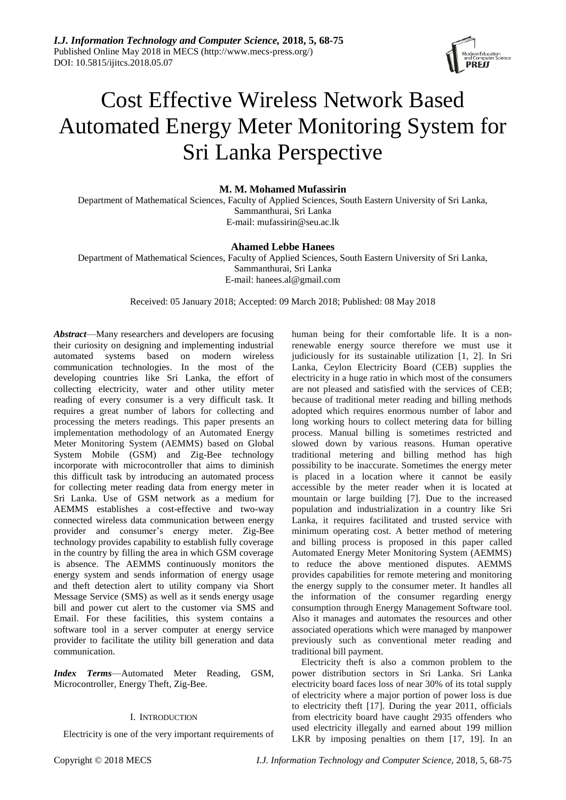

# Cost Effective Wireless Network Based Automated Energy Meter Monitoring System for Sri Lanka Perspective

# **M. M. Mohamed Mufassirin**

Department of Mathematical Sciences, Faculty of Applied Sciences, South Eastern University of Sri Lanka, Sammanthurai, Sri Lanka E-mail: mufassirin@seu.ac.lk

# **Ahamed Lebbe Hanees**

Department of Mathematical Sciences, Faculty of Applied Sciences, South Eastern University of Sri Lanka, Sammanthurai, Sri Lanka E-mail: hanees.al@gmail.com

Received: 05 January 2018; Accepted: 09 March 2018; Published: 08 May 2018

*Abstract*—Many researchers and developers are focusing their curiosity on designing and implementing industrial automated systems based on modern wireless communication technologies. In the most of the developing countries like Sri Lanka, the effort of collecting electricity, water and other utility meter reading of every consumer is a very difficult task. It requires a great number of labors for collecting and processing the meters readings. This paper presents an implementation methodology of an Automated Energy Meter Monitoring System (AEMMS) based on Global System Mobile (GSM) and Zig-Bee technology incorporate with microcontroller that aims to diminish this difficult task by introducing an automated process for collecting meter reading data from energy meter in Sri Lanka. Use of GSM network as a medium for AEMMS establishes a cost-effective and two-way connected wireless data communication between energy provider and consumer's energy meter. Zig-Bee technology provides capability to establish fully coverage in the country by filling the area in which GSM coverage is absence. The AEMMS continuously monitors the energy system and sends information of energy usage and theft detection alert to utility company via Short Message Service (SMS) as well as it sends energy usage bill and power cut alert to the customer via SMS and Email. For these facilities, this system contains a software tool in a server computer at energy service provider to facilitate the utility bill generation and data communication.

*Index Terms*—Automated Meter Reading, GSM, Microcontroller, Energy Theft, Zig-Bee.

# I. INTRODUCTION

Electricity is one of the very important requirements of

human being for their comfortable life. It is a nonrenewable energy source therefore we must use it judiciously for its sustainable utilization [1, 2]. In Sri Lanka, Ceylon Electricity Board (CEB) supplies the electricity in a huge ratio in which most of the consumers are not pleased and satisfied with the services of CEB; because of traditional meter reading and billing methods adopted which requires enormous number of labor and long working hours to collect metering data for billing process. Manual billing is sometimes restricted and slowed down by various reasons. Human operative traditional metering and billing method has high possibility to be inaccurate. Sometimes the energy meter is placed in a location where it cannot be easily accessible by the meter reader when it is located at mountain or large building [7]. Due to the increased population and industrialization in a country like Sri Lanka, it requires facilitated and trusted service with minimum operating cost. A better method of metering and billing process is proposed in this paper called Automated Energy Meter Monitoring System (AEMMS) to reduce the above mentioned disputes. AEMMS provides capabilities for remote metering and monitoring the energy supply to the consumer meter. It handles all the information of the consumer regarding energy consumption through Energy Management Software tool. Also it manages and automates the resources and other associated operations which were managed by manpower previously such as conventional meter reading and traditional bill payment.

Electricity theft is also a common problem to the power distribution sectors in Sri Lanka. Sri Lanka electricity board faces loss of near 30% of its total supply of electricity where a major portion of power loss is due to electricity theft [17]. During the year 2011, officials from electricity board have caught 2935 offenders who used electricity illegally and earned about 199 million LKR by imposing penalties on them [17, 19]. In an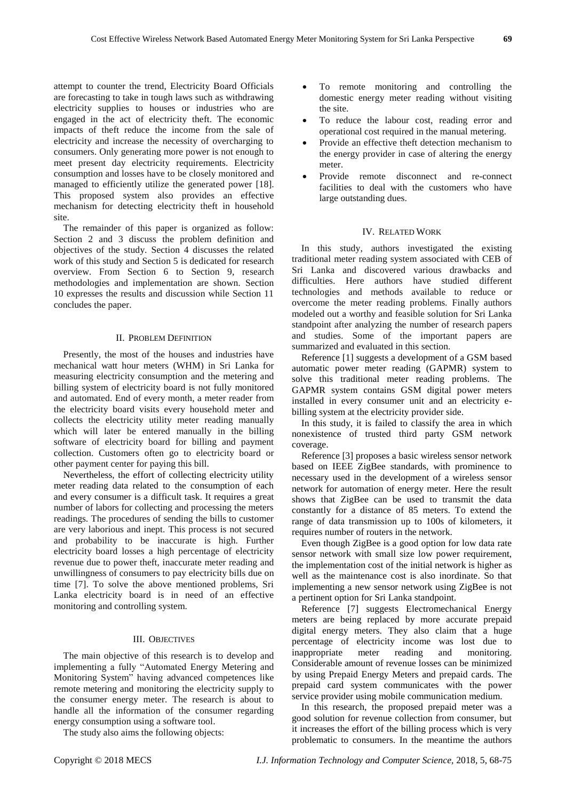attempt to counter the trend, Electricity Board Officials are forecasting to take in tough laws such as withdrawing electricity supplies to houses or industries who are engaged in the act of electricity theft. The economic impacts of theft reduce the income from the sale of electricity and increase the necessity of overcharging to consumers. Only generating more power is not enough to meet present day electricity requirements. Electricity consumption and losses have to be closely monitored and managed to efficiently utilize the generated power [18]. This proposed system also provides an effective mechanism for detecting electricity theft in household site.

The remainder of this paper is organized as follow: Section 2 and 3 discuss the problem definition and objectives of the study. Section 4 discusses the related work of this study and Section 5 is dedicated for research overview. From Section 6 to Section 9, research methodologies and implementation are shown. Section 10 expresses the results and discussion while Section 11 concludes the paper.

## II. PROBLEM DEFINITION

Presently, the most of the houses and industries have mechanical watt hour meters (WHM) in Sri Lanka for measuring electricity consumption and the metering and billing system of electricity board is not fully monitored and automated. End of every month, a meter reader from the electricity board visits every household meter and collects the electricity utility meter reading manually which will later be entered manually in the billing software of electricity board for billing and payment collection. Customers often go to electricity board or other payment center for paying this bill.

Nevertheless, the effort of collecting electricity utility meter reading data related to the consumption of each and every consumer is a difficult task. It requires a great number of labors for collecting and processing the meters readings. The procedures of sending the bills to customer are very laborious and inept. This process is not secured and probability to be inaccurate is high. Further electricity board losses a high percentage of electricity revenue due to power theft, inaccurate meter reading and unwillingness of consumers to pay electricity bills due on time [7]. To solve the above mentioned problems, Sri Lanka electricity board is in need of an effective monitoring and controlling system.

#### III. OBJECTIVES

The main objective of this research is to develop and implementing a fully "Automated Energy Metering and Monitoring System" having advanced competences like remote metering and monitoring the electricity supply to the consumer energy meter. The research is about to handle all the information of the consumer regarding energy consumption using a software tool.

The study also aims the following objects:

- To remote monitoring and controlling the domestic energy meter reading without visiting the site.
- To reduce the labour cost, reading error and operational cost required in the manual metering.
- Provide an effective theft detection mechanism to the energy provider in case of altering the energy meter.
- Provide remote disconnect and re-connect facilities to deal with the customers who have large outstanding dues.

#### IV. RELATED WORK

In this study, authors investigated the existing traditional meter reading system associated with CEB of Sri Lanka and discovered various drawbacks and difficulties. Here authors have studied different technologies and methods available to reduce or overcome the meter reading problems. Finally authors modeled out a worthy and feasible solution for Sri Lanka standpoint after analyzing the number of research papers and studies. Some of the important papers are summarized and evaluated in this section.

Reference [1] suggests a development of a GSM based automatic power meter reading (GAPMR) system to solve this traditional meter reading problems. The GAPMR system contains GSM digital power meters installed in every consumer unit and an electricity ebilling system at the electricity provider side.

In this study, it is failed to classify the area in which nonexistence of trusted third party GSM network coverage.

Reference [3] proposes a basic wireless sensor network based on IEEE ZigBee standards, with prominence to necessary used in the development of a wireless sensor network for automation of energy meter. Here the result shows that ZigBee can be used to transmit the data constantly for a distance of 85 meters. To extend the range of data transmission up to 100s of kilometers, it requires number of routers in the network.

Even though ZigBee is a good option for low data rate sensor network with small size low power requirement, the implementation cost of the initial network is higher as well as the maintenance cost is also inordinate. So that implementing a new sensor network using ZigBee is not a pertinent option for Sri Lanka standpoint.

Reference [7] suggests Electromechanical Energy meters are being replaced by more accurate prepaid digital energy meters. They also claim that a huge percentage of electricity income was lost due to inappropriate meter reading and monitoring. Considerable amount of revenue losses can be minimized by using Prepaid Energy Meters and prepaid cards. The prepaid card system communicates with the power service provider using mobile communication medium.

In this research, the proposed prepaid meter was a good solution for revenue collection from consumer, but it increases the effort of the billing process which is very problematic to consumers. In the meantime the authors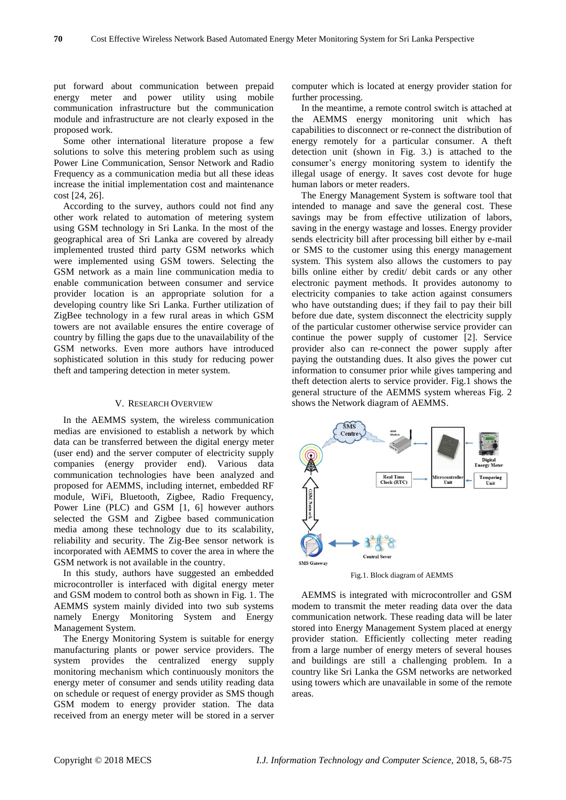put forward about communication between prepaid energy meter and power utility using mobile communication infrastructure but the communication module and infrastructure are not clearly exposed in the proposed work.

Some other international literature propose a few solutions to solve this metering problem such as using Power Line Communication, Sensor Network and Radio Frequency as a communication media but all these ideas increase the initial implementation cost and maintenance cost [24, 26].

According to the survey, authors could not find any other work related to automation of metering system using GSM technology in Sri Lanka. In the most of the geographical area of Sri Lanka are covered by already implemented trusted third party GSM networks which were implemented using GSM towers. Selecting the GSM network as a main line communication media to enable communication between consumer and service provider location is an appropriate solution for a developing country like Sri Lanka. Further utilization of ZigBee technology in a few rural areas in which GSM towers are not available ensures the entire coverage of country by filling the gaps due to the unavailability of the GSM networks. Even more authors have introduced sophisticated solution in this study for reducing power theft and tampering detection in meter system.

## V. RESEARCH OVERVIEW

In the AEMMS system, the wireless communication medias are envisioned to establish a network by which data can be transferred between the digital energy meter (user end) and the server computer of electricity supply companies (energy provider end). Various data communication technologies have been analyzed and proposed for AEMMS, including internet, embedded RF module, WiFi, Bluetooth, Zigbee, Radio Frequency, Power Line (PLC) and GSM [1, 6] however authors selected the GSM and Zigbee based communication media among these technology due to its scalability, reliability and security. The Zig-Bee sensor network is incorporated with AEMMS to cover the area in where the GSM network is not available in the country.

In this study, authors have suggested an embedded microcontroller is interfaced with digital energy meter and GSM modem to control both as shown in Fig. 1. The AEMMS system mainly divided into two sub systems namely Energy Monitoring System and Energy Management System.

The Energy Monitoring System is suitable for energy manufacturing plants or power service providers. The system provides the centralized energy supply monitoring mechanism which continuously monitors the energy meter of consumer and sends utility reading data on schedule or request of energy provider as SMS though GSM modem to energy provider station. The data received from an energy meter will be stored in a server computer which is located at energy provider station for further processing.

In the meantime, a remote control switch is attached at the AEMMS energy monitoring unit which has capabilities to disconnect or re-connect the distribution of energy remotely for a particular consumer. A theft detection unit (shown in Fig. 3.) is attached to the consumer's energy monitoring system to identify the illegal usage of energy. It saves cost devote for huge human labors or meter readers.

The Energy Management System is software tool that intended to manage and save the general cost. These savings may be from effective utilization of labors, saving in the energy wastage and losses. Energy provider sends electricity bill after processing bill either by e-mail or SMS to the customer using this energy management system. This system also allows the customers to pay bills online either by credit/ debit cards or any other electronic payment methods. It provides autonomy to electricity companies to take action against consumers who have outstanding dues; if they fail to pay their bill before due date, system disconnect the electricity supply of the particular customer otherwise service provider can continue the power supply of customer [2]. Service provider also can re-connect the power supply after paying the outstanding dues. It also gives the power cut information to consumer prior while gives tampering and theft detection alerts to service provider. Fig.1 shows the general structure of the AEMMS system whereas Fig. 2 shows the Network diagram of AEMMS.



Fig.1. Block diagram of AEMMS

AEMMS is integrated with microcontroller and GSM modem to transmit the meter reading data over the data communication network. These reading data will be later stored into Energy Management System placed at energy provider station. Efficiently collecting meter reading from a large number of energy meters of several houses and buildings are still a challenging problem. In a country like Sri Lanka the GSM networks are networked using towers which are unavailable in some of the remote areas.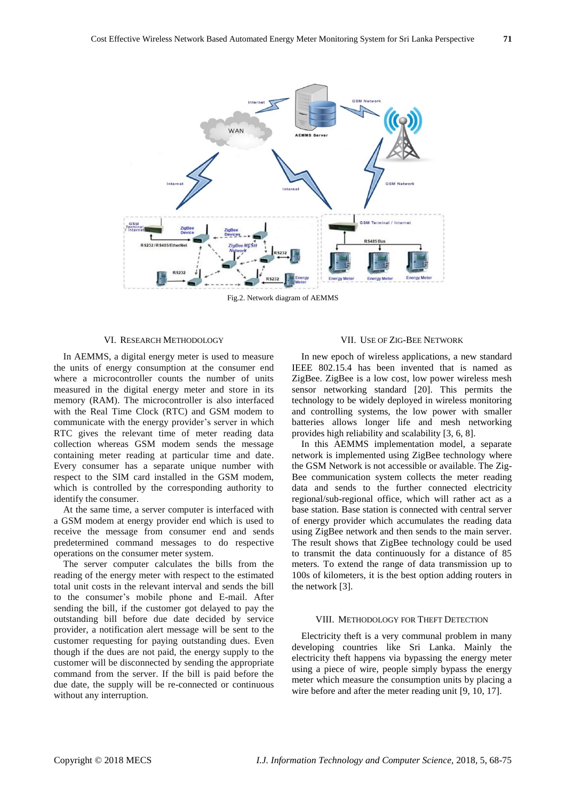

Fig.2. Network diagram of AEMMS

#### VI. RESEARCH METHODOLOGY

In AEMMS, a digital energy meter is used to measure the units of energy consumption at the consumer end where a microcontroller counts the number of units measured in the digital energy meter and store in its memory (RAM). The microcontroller is also interfaced with the Real Time Clock (RTC) and GSM modem to communicate with the energy provider's server in which RTC gives the relevant time of meter reading data collection whereas GSM modem sends the message containing meter reading at particular time and date. Every consumer has a separate unique number with respect to the SIM card installed in the GSM modem, which is controlled by the corresponding authority to identify the consumer.

At the same time, a server computer is interfaced with a GSM modem at energy provider end which is used to receive the message from consumer end and sends predetermined command messages to do respective operations on the consumer meter system.

The server computer calculates the bills from the reading of the energy meter with respect to the estimated total unit costs in the relevant interval and sends the bill to the consumer's mobile phone and E-mail. After sending the bill, if the customer got delayed to pay the outstanding bill before due date decided by service provider, a notification alert message will be sent to the customer requesting for paying outstanding dues. Even though if the dues are not paid, the energy supply to the customer will be disconnected by sending the appropriate command from the server. If the bill is paid before the due date, the supply will be re-connected or continuous without any interruption.

#### VII. USE OF ZIG-BEE NETWORK

In new epoch of wireless applications, a new standard IEEE 802.15.4 has been invented that is named as ZigBee. ZigBee is a low cost, low power wireless mesh sensor networking standard [20]. This permits the technology to be widely deployed in wireless monitoring and controlling systems, the low power with smaller batteries allows longer life and mesh networking provides high reliability and scalability [3, 6, 8].

In this AEMMS implementation model, a separate network is implemented using ZigBee technology where the GSM Network is not accessible or available. The Zig-Bee communication system collects the meter reading data and sends to the further connected electricity regional/sub-regional office, which will rather act as a base station. Base station is connected with central server of energy provider which accumulates the reading data using ZigBee network and then sends to the main server. The result shows that ZigBee technology could be used to transmit the data continuously for a distance of 85 meters. To extend the range of data transmission up to 100s of kilometers, it is the best option adding routers in the network [3].

## VIII. METHODOLOGY FOR THEFT DETECTION

Electricity theft is a very communal problem in many developing countries like Sri Lanka. Mainly the electricity theft happens via bypassing the energy meter using a piece of wire, people simply bypass the energy meter which measure the consumption units by placing a wire before and after the meter reading unit [9, 10, 17].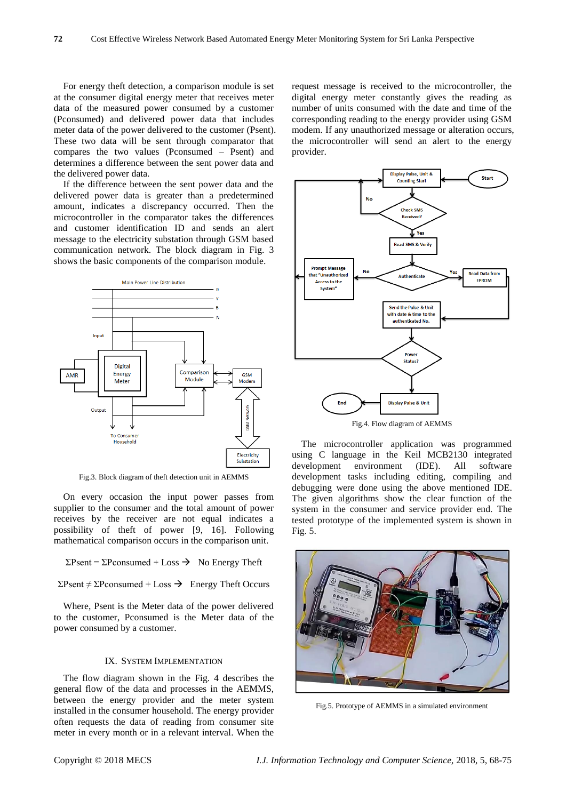For energy theft detection, a comparison module is set at the consumer digital energy meter that receives meter data of the measured power consumed by a customer (Pconsumed) and delivered power data that includes meter data of the power delivered to the customer (Psent). These two data will be sent through comparator that compares the two values (Pconsumed – Psent) and determines a difference between the sent power data and the delivered power data.

If the difference between the sent power data and the delivered power data is greater than a predetermined amount, indicates a discrepancy occurred. Then the microcontroller in the comparator takes the differences and customer identification ID and sends an alert message to the electricity substation through GSM based communication network. The block diagram in Fig. 3 shows the basic components of the comparison module.



Fig.3. Block diagram of theft detection unit in AEMMS

On every occasion the input power passes from supplier to the consumer and the total amount of power receives by the receiver are not equal indicates a possibility of theft of power [9, 16]. Following mathematical comparison occurs in the comparison unit.

 $\Sigma$ Psent =  $\Sigma$ Pconsumed + Loss  $\rightarrow$  No Energy Theft

 $ΣPsent ≠ ΣPconsumed + Loss →$  Energy Theft Occurs

Where, Psent is the Meter data of the power delivered to the customer, Pconsumed is the Meter data of the power consumed by a customer.

## IX. SYSTEM IMPLEMENTATION

The flow diagram shown in the Fig. 4 describes the general flow of the data and processes in the AEMMS, between the energy provider and the meter system installed in the consumer household. The energy provider often requests the data of reading from consumer site meter in every month or in a relevant interval. When the

request message is received to the microcontroller, the digital energy meter constantly gives the reading as number of units consumed with the date and time of the corresponding reading to the energy provider using GSM modem. If any unauthorized message or alteration occurs, the microcontroller will send an alert to the energy provider.



The microcontroller application was programmed using C language in the Keil MCB2130 integrated development environment (IDE). All software development tasks including editing, compiling and debugging were done using the above mentioned IDE. The given algorithms show the clear function of the system in the consumer and service provider end. The tested prototype of the implemented system is shown in Fig. 5.



Fig.5. Prototype of AEMMS in a simulated environment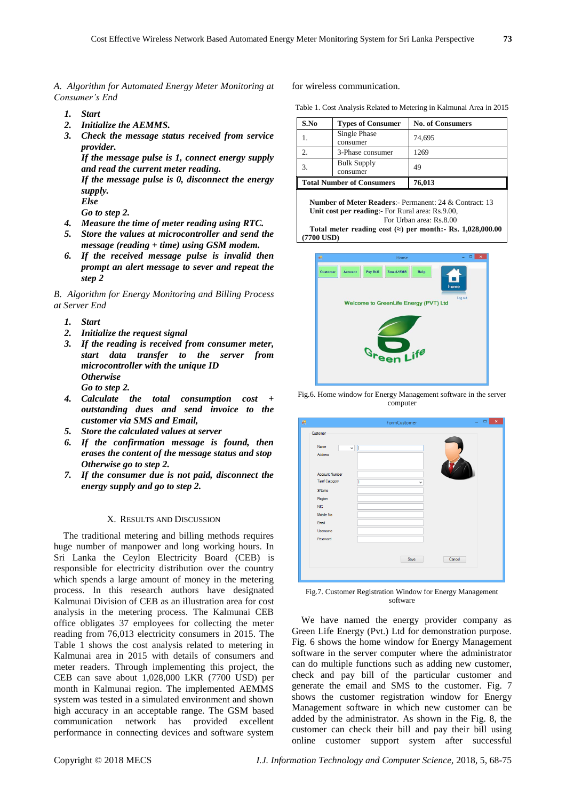*A. Algorithm for Automated Energy Meter Monitoring at Consumer's End*

- *1. Start*
- *2. Initialize the AEMMS.*
- *3. Check the message status received from service provider.*

*If the message pulse is 1, connect energy supply and read the current meter reading.*

*If the message pulse is 0, disconnect the energy supply.*

*Else*

*Go to step 2.*

- *4. Measure the time of meter reading using RTC.*
- *5. Store the values at microcontroller and send the message (reading + time) using GSM modem.*
- *6. If the received message pulse is invalid then prompt an alert message to sever and repeat the step 2*

*B. Algorithm for Energy Monitoring and Billing Process at Server End*

- *1. Start*
- *2. Initialize the request signal*
- *3. If the reading is received from consumer meter, start data transfer to the server from microcontroller with the unique ID Otherwise Go to step 2.*
- *4. Calculate the total consumption cost + outstanding dues and send invoice to the customer via SMS and Email,*
- *5. Store the calculated values at server*
- *6. If the confirmation message is found, then erases the content of the message status and stop Otherwise go to step 2.*
- *7. If the consumer due is not paid, disconnect the energy supply and go to step 2.*

## X. RESULTS AND DISCUSSION

The traditional metering and billing methods requires huge number of manpower and long working hours. In Sri Lanka the Ceylon Electricity Board (CEB) is responsible for electricity distribution over the country which spends a large amount of money in the metering process. In this research authors have designated Kalmunai Division of CEB as an illustration area for cost analysis in the metering process. The Kalmunai CEB office obligates 37 employees for collecting the meter reading from 76,013 electricity consumers in 2015. The Table 1 shows the cost analysis related to metering in Kalmunai area in 2015 with details of consumers and meter readers. Through implementing this project, the CEB can save about 1,028,000 LKR (7700 USD) per month in Kalmunai region. The implemented AEMMS system was tested in a simulated environment and shown high accuracy in an acceptable range. The GSM based communication network has provided excellent performance in connecting devices and software system for wireless communication.

Table 1. Cost Analysis Related to Metering in Kalmunai Area in 2015

| S.No                             | <b>Types of Consumer</b>       | <b>No. of Consumers</b> |
|----------------------------------|--------------------------------|-------------------------|
|                                  | Single Phase<br>consumer       | 74,695                  |
|                                  | 3-Phase consumer               | 1269                    |
|                                  | <b>Bulk Supply</b><br>consumer | 49                      |
| <b>Total Number of Consumers</b> |                                | 76,013                  |

**Number of Meter Readers**:- Permanent: 24 & Contract: 13 **Unit cost per reading**:- For Rural area: Rs.9.00, For Urban area: Rs.8.00

**Total meter reading cost (≈) per month:- Rs. 1,028,000.00 (7700 USD)**



Fig.6. Home window for Energy Management software in the server computer

| 轀                      | FormCustomer      | $\boldsymbol{\times}$<br>$\Box$ |
|------------------------|-------------------|---------------------------------|
| Customer               |                   |                                 |
| Name<br>Address        | Π<br>$\checkmark$ |                                 |
| <b>Account Number</b>  |                   |                                 |
| <b>Tarrif Catogory</b> | 1<br>v            |                                 |
| SName                  |                   |                                 |
| Region                 |                   |                                 |
| <b>NIC</b>             |                   |                                 |
| Mobile No              |                   |                                 |
| Email                  |                   |                                 |
| Usemame                |                   |                                 |
| Password               |                   |                                 |
|                        | Save              | Cancel                          |
|                        |                   |                                 |

Fig.7. Customer Registration Window for Energy Management software

We have named the energy provider company as Green Life Energy (Pvt.) Ltd for demonstration purpose. Fig. 6 shows the home window for Energy Management software in the server computer where the administrator can do multiple functions such as adding new customer, check and pay bill of the particular customer and generate the email and SMS to the customer. Fig. 7 shows the customer registration window for Energy Management software in which new customer can be added by the administrator. As shown in the Fig. 8, the customer can check their bill and pay their bill using online customer support system after successful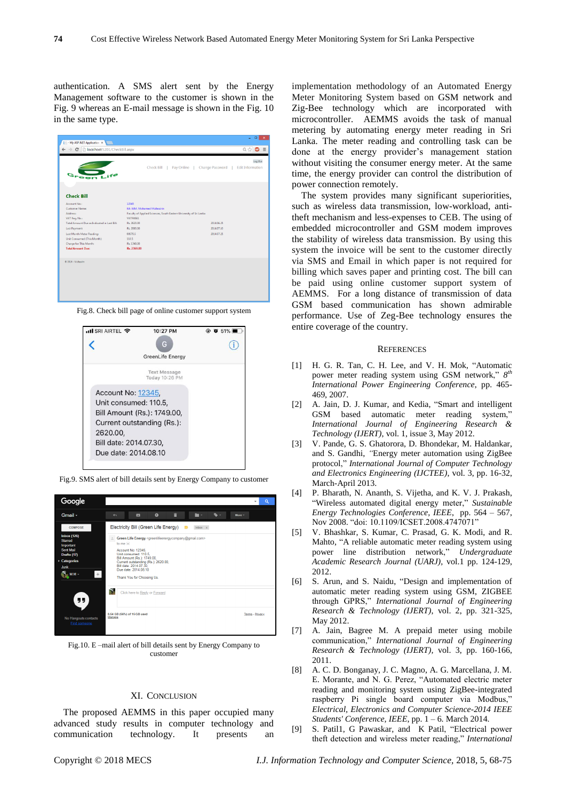authentication. A SMS alert sent by the Energy Management software to the customer is shown in the Fig. 9 whereas an E-mail message is shown in the Fig. 10 in the same type.

| My ASP NET Application x                                                                                                                                                                                                                      |                                                                                                                                                                                                                                                        | $\Box$                             |
|-----------------------------------------------------------------------------------------------------------------------------------------------------------------------------------------------------------------------------------------------|--------------------------------------------------------------------------------------------------------------------------------------------------------------------------------------------------------------------------------------------------------|------------------------------------|
| localhost:5201/CheckBill.aspx                                                                                                                                                                                                                 |                                                                                                                                                                                                                                                        | $Q \, \frac{d}{d \lambda}$         |
| Green Life                                                                                                                                                                                                                                    | Check Bill  <br>Pay Online<br>Change Password                                                                                                                                                                                                          | Log Out<br><b>Edit Information</b> |
| <b>Check Bill</b>                                                                                                                                                                                                                             |                                                                                                                                                                                                                                                        |                                    |
| Account No.:<br>Customer Name:<br>Address:<br>VAT Reg. No.:<br>Total Amount Due as Indicated in Last Bill:<br>Last Payment:<br>Last Month Meter Reading:<br>Unit Consumed (This Month):<br>Charge for This Month:<br><b>Total Amount Due:</b> | 12345<br>Mr. MM. Mchamed Mufassirin<br>Faculty of Applied Sciences, South Eastern University of Sri Lanka<br><b>VATRIS61</b><br>Rs. 2620.00<br>2014.06.25<br>Rs. 2000.00<br>2014.07.10<br>00570.5<br>2014.07.25<br>110.5<br>Rs. 1749.00<br>Rs. 2369.00 |                                    |
| @ 2014 - Mufassirin                                                                                                                                                                                                                           |                                                                                                                                                                                                                                                        |                                    |

Fig.8. Check bill page of online customer support system



Fig.9. SMS alert of bill details sent by Energy Company to customer



Fig.10. E –mail alert of bill details sent by Energy Company to customer

## XI. CONCLUSION

The proposed AEMMS in this paper occupied many advanced study results in computer technology and communication technology. It presents an

implementation methodology of an Automated Energy Meter Monitoring System based on GSM network and Zig-Bee technology which are incorporated with microcontroller. AEMMS avoids the task of manual metering by automating energy meter reading in Sri Lanka. The meter reading and controlling task can be done at the energy provider's management station without visiting the consumer energy meter. At the same time, the energy provider can control the distribution of power connection remotely.

The system provides many significant superiorities, such as wireless data transmission, low-workload, antitheft mechanism and less-expenses to CEB. The using of embedded microcontroller and GSM modem improves the stability of wireless data transmission. By using this system the invoice will be sent to the customer directly via SMS and Email in which paper is not required for billing which saves paper and printing cost. The bill can be paid using online customer support system of AEMMS. For a long distance of transmission of data GSM based communication has shown admirable performance. Use of Zeg-Bee technology ensures the entire coverage of the country.

#### **REFERENCES**

- [1] H. G. R. Tan, C. H. Lee, and V. H. Mok, "Automatic power meter reading system using GSM network,"  $8^{th}$ *International Power Engineering Conference*, pp. 465- 469, 2007.
- [2] A. Jain, D. J. Kumar, and Kedia, "Smart and intelligent GSM based automatic meter reading system," *International Journal of Engineering Research & Technology (IJERT)*, vol. 1, issue 3, May 2012.
- [3] V. Pande, G. S. Ghatorora, D. Bhondekar, M. Haldankar, and S. Gandhi, *"*Energy meter automation using ZigBee protocol," *International Journal of Computer Technology and Electronics Engineering (IJCTEE)*, vol. 3, pp. 16-32, March-April 2013.
- [4] P. Bharath, N. Ananth, S. Vijetha, and K. V. J. Prakash, "Wireless automated digital energy meter," *Sustainable Energy Technologies Conference, IEEE*, pp. 564 – 567, Nov 2008. "doi: 10.1109/ICSET.2008.4747071"
- [5] V. Bhashkar, S. Kumar, C. Prasad, G. K. Modi, and R. Mahto, "A reliable automatic meter reading system using power line distribution network," *Undergraduate Academic Research Journal (UARJ),* vol.1 pp. 124-129, 2012.
- [6] S. Arun, and S. Naidu, "Design and implementation of automatic meter reading system using GSM, ZIGBEE through GPRS," *International Journal of Engineering Research & Technology (IJERT)*, vol. 2, pp. 321-325, May 2012.
- [7] A. Jain, Bagree M. A prepaid meter using mobile communication," *International Journal of Engineering Research & Technology (IJERT),* vol. 3, pp. 160-166, 2011.
- [8] A. C. D. Bonganay, J. C. Magno, A. G. Marcellana, J. M. E. Morante, and N. G. Perez, "Automated electric meter reading and monitoring system using ZigBee-integrated raspberry Pi single board computer via Modbus," *Electrical, Electronics and Computer Science-2014 IEEE Students' Conference, IEEE*, pp. 1 – 6. March 2014.
- [9] S. Patil1, G Pawaskar, and K Patil, "Electrical power theft detection and wireless meter reading," *International*